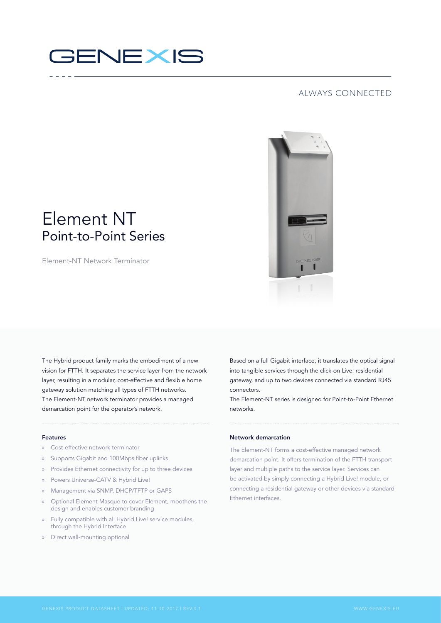# **GENEXIS**

### always connected

## Element NT Point-to-Point Series

Element-NT Network Terminator

The Hybrid product family marks the embodiment of a new vision for FTTH. It separates the service layer from the network layer, resulting in a modular, cost-effective and flexible home gateway solution matching all types of FTTH networks. The Element-NT network terminator provides a managed demarcation point for the operator's network.

#### Features

- » Cost-effective network terminator
- » Supports Gigabit and 100Mbps fiber uplinks
- » Provides Ethernet connectivity for up to three devices
- » Powers Universe-CATV & Hybrid Live!
- » Management via SNMP, DHCP/TFTP or GAPS
- » Optional Element Masque to cover Element, moothens the design and enables customer branding
- » Fully compatible with all Hybrid Live! service modules, through the Hybrid Interface
- » Direct wall-mounting optional

Based on a full Gigabit interface, it translates the optical signal into tangible services through the click-on Live! residential gateway, and up to two devices connected via standard RJ45 connectors.

The Element-NT series is designed for Point-to-Point Ethernet networks.

#### Network demarcation

The Element-NT forms a cost-effective managed network demarcation point. It offers termination of the FTTH transport layer and multiple paths to the service layer. Services can be activated by simply connecting a Hybrid Live! module, or connecting a residential gateway or other devices via standard Ethernet interfaces.